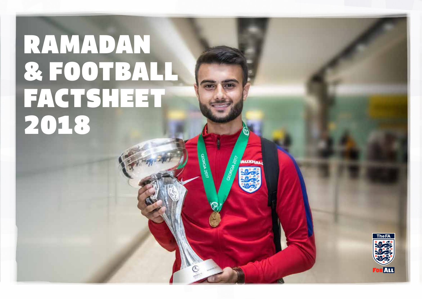# RAMADAN & FOOTBALL FACTSHEET 2018



**MEXEK**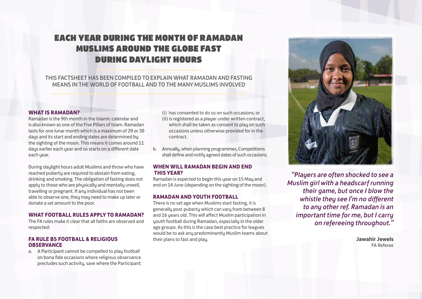# EACH YEAR DURING THE MONTH OF RAMADAN MUSLIMS AROUND THE GLOBE FAST DURING DAYLIGHT HOURS

# THIS FACTSHEET HAS BEEN COMPILED TO EXPLAIN WHAT RAMADAN AND FASTING MEANS IN THE WORLD OF FOOTBALL AND TO THE MANY MUSLIMS INVOLVED

#### **WHAT IS RAMADAN?**

Ramadan is the 9th month in the Islamic calendar and is also known as one of the Five Pillars of Islam. Ramadan lasts for one lunar month which is a maximum of 29 or 30 days and its start and ending dates are determined by the sighting of the moon. This means it comes around 11 days earlier each year and so starts on a different date each year.

During daylight hours adult Muslims and those who have reached puberty are required to abstain from eating, drinking and smoking. The obligation of fasting does not apply to those who are physically and mentally unwell, travelling or pregnant. If any individual has not been able to observe one, they may need to make up later or donate a set amount to the poor.

#### **WHAT FOOTBALL RULES APPLY TO RAMADAN?**

The FA rules make it clear that all faiths are observed and respected:

# **FA RULE B5 FOOTBALL & RELIGIOUS OBSERVANCE**

a. A Participant cannot be compelled to play football on bona fide occasions where religious observance precludes such activity, save where the Participant:

- (i) has consented to do so on such occasions; or (ii) is registered as a player under written contract, which shall be taken as consent to play on such occasions unless otherwise provided for in the contract.
- b. Annually, when planning programmes, Competitions shall define and notify agreed dates of such occasions.

# **WHEN WILL RAMADAN BEGIN AND END THIS YEAR?**

Ramadan is expected to begin this year on 15 May and end on 14 June (depending on the sighting of the moon).

#### **RAMADAN AND YOUTH FOOTBALL**

There is no set age when Muslims start fasting, it is generally post-puberty which can vary from between 8 and 16 years old. This will affect Muslim participation in youth football during Ramadan, especially in the older age groups. As this is the case best practice for leagues would be to ask any predominantly Muslim teams about their plans to fast and play.



*"Players are often shocked to see a Muslim girl with a headscarf running their game, but once I blow the whistle they see I'm no different to any other ref. Ramadan is an important time for me, but I carry on refereeing throughout."* 

> **Jawahir Jewels**  FA Referee